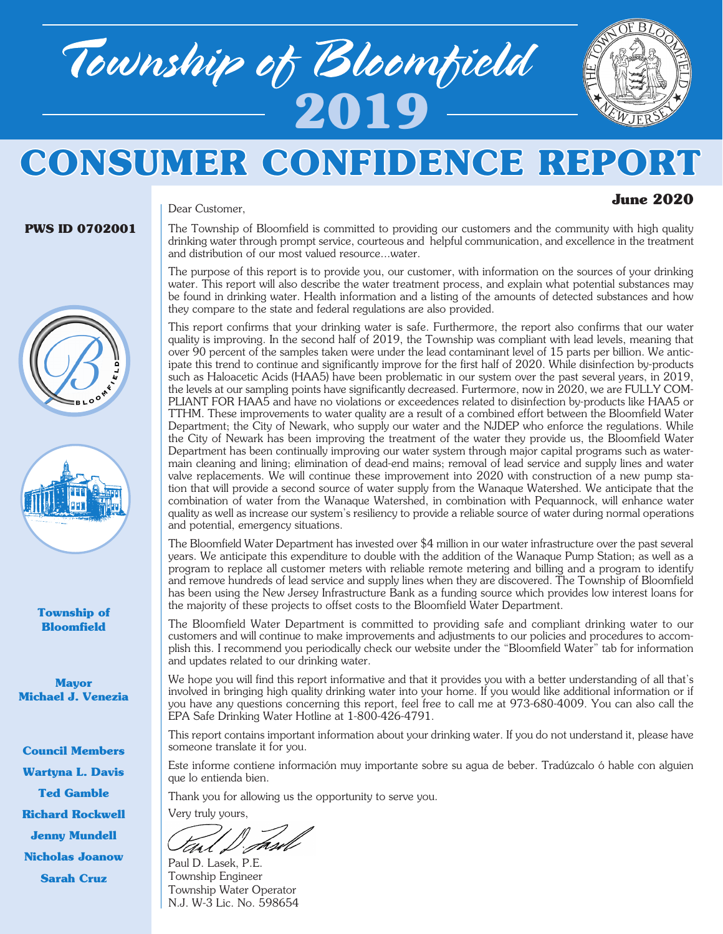

Dear Customer,



# **CONSUMER CONFIDENCE REPOI**

# **June 2020**

#### **PWS ID 0702001**

**Township of Bloomfield**

**Mayor Michael J. Venezia**

**Council Members Wartyna L. Davis Ted Gamble Richard Rockwell Jenny Mundell Nicholas Joanow Sarah Cruz**

The Township of Bloomfield is committed to providing our customers and the community with high quality drinking water through prompt service, courteous and helpful communication, and excellence in the treatment and distribution of our most valued resource...water.

The purpose of this report is to provide you, our customer, with information on the sources of your drinking water. This report will also describe the water treatment process, and explain what potential substances may be found in drinking water. Health information and a listing of the amounts of detected substances and how they compare to the state and federal regulations are also provided.

This report confirms that your drinking water is safe. Furthermore, the report also confirms that our water quality is improving. In the second half of 2019, the Township was compliant with lead levels, meaning that over 90 percent of the samples taken were under the lead contaminant level of 15 parts per billion. We anticipate this trend to continue and significantly improve for the first half of 2020. While disinfection by-products such as Haloacetic Acids (HAA5) have been problematic in our system over the past several years, in 2019, the levels at our sampling points have significantly decreased. Furtermore, now in 2020, we are FULLY COM-PLIANT FOR HAA5 and have no violations or exceedences related to disinfection by-products like HAA5 or TTHM. These improvements to water quality are a result of a combined effort between the Bloomfield Water Department; the City of Newark, who supply our water and the NJDEP who enforce the regulations. While the City of Newark has been improving the treatment of the water they provide us, the Bloomfield Water Department has been continually improving our water system through major capital programs such as watermain cleaning and lining; elimination of dead-end mains; removal of lead service and supply lines and water valve replacements. We will continue these improvement into 2020 with construction of a new pump station that will provide a second source of water supply from the Wanaque Watershed. We anticipate that the combination of water from the Wanaque Watershed, in combination with Pequannock, will enhance water quality as well as increase our system's resiliency to provide a reliable source of water during normal operations and potential, emergency situations.

The Bloomfield Water Department has invested over \$4 million in our water infrastructure over the past several years. We anticipate this expenditure to double with the addition of the Wanaque Pump Station; as well as a program to replace all customer meters with reliable remote metering and billing and a program to identify and remove hundreds of lead service and supply lines when they are discovered. The Township of Bloomfield has been using the New Jersey Infrastructure Bank as a funding source which provides low interest loans for the majority of these projects to offset costs to the Bloomfield Water Department.

The Bloomfield Water Department is committed to providing safe and compliant drinking water to our customers and will continue to make improvements and adjustments to our policies and procedures to accomplish this. I recommend you periodically check our website under the "Bloomfield Water" tab for information and updates related to our drinking water.

We hope you will find this report informative and that it provides you with a better understanding of all that's involved in bringing high quality drinking water into your home. If you would like additional information or if you have any questions concerning this report, feel free to call me at 973-680-4009. You can also call the EPA Safe Drinking Water Hotline at 1-800-426-4791.

This report contains important information about your drinking water. If you do not understand it, please have someone translate it for you.

Este informe contiene información muy importante sobre su agua de beber. Tradúzcalo ó hable con alguien que lo entienda bien.

Thank you for allowing us the opportunity to serve you.

Very truly yours,

trl L

Paul D. Lasek, P.E. Township Engineer Township Water Operator N.J. W-3 Lic. No. 598654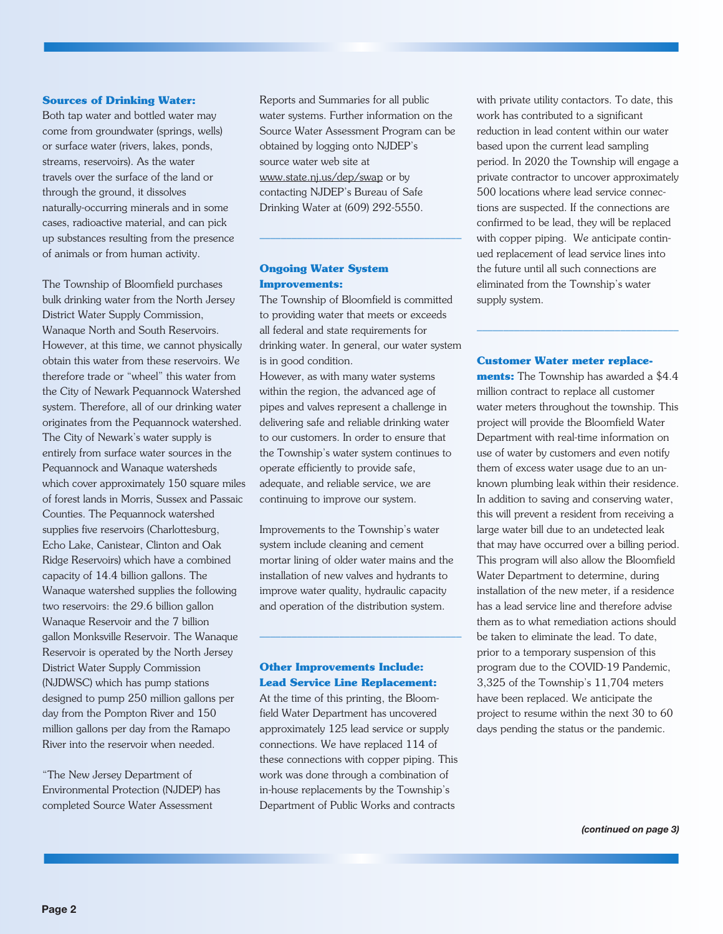#### **Sources of Drinking Water:**

Both tap water and bottled water may come from groundwater (springs, wells) or surface water (rivers, lakes, ponds, streams, reservoirs). As the water travels over the surface of the land or through the ground, it dissolves naturally-occurring minerals and in some cases, radioactive material, and can pick up substances resulting from the presence of animals or from human activity.

The Township of Bloomfield purchases bulk drinking water from the North Jersey District Water Supply Commission, Wanaque North and South Reservoirs. However, at this time, we cannot physically obtain this water from these reservoirs. We therefore trade or "wheel" this water from the City of Newark Pequannock Watershed system. Therefore, all of our drinking water originates from the Pequannock watershed. The City of Newark's water supply is entirely from surface water sources in the Pequannock and Wanaque watersheds which cover approximately 150 square miles of forest lands in Morris, Sussex and Passaic Counties. The Pequannock watershed supplies five reservoirs (Charlottesburg, Echo Lake, Canistear, Clinton and Oak Ridge Reservoirs) which have a combined capacity of 14.4 billion gallons. The Wanaque watershed supplies the following two reservoirs: the 29.6 billion gallon Wanaque Reservoir and the 7 billion gallon Monksville Reservoir. The Wanaque Reservoir is operated by the North Jersey District Water Supply Commission (NJDWSC) which has pump stations designed to pump 250 million gallons per day from the Pompton River and 150 million gallons per day from the Ramapo River into the reservoir when needed.

"The New Jersey Department of Environmental Protection (NJDEP) has completed Source Water Assessment

Reports and Summaries for all public water systems. Further information on the Source Water Assessment Program can be obtained by logging onto NJDEP's source water web site at www.state.nj.us/dep/swap or by contacting NJDEP's Bureau of Safe Drinking Water at (609) 292-5550.

#### **Ongoing Water System Improvements:**

The Township of Bloomfield is committed to providing water that meets or exceeds all federal and state requirements for drinking water. In general, our water system is in good condition.

––––––––––––––––––––––––––––––––––––––

However, as with many water systems within the region, the advanced age of pipes and valves represent a challenge in delivering safe and reliable drinking water to our customers. In order to ensure that the Township's water system continues to operate efficiently to provide safe, adequate, and reliable service, we are continuing to improve our system.

Improvements to the Township's water system include cleaning and cement mortar lining of older water mains and the installation of new valves and hydrants to improve water quality, hydraulic capacity and operation of the distribution system.

––––––––––––––––––––––––––––––––––––––

#### **Other Improvements Include: Lead Service Line Replacement:**

At the time of this printing, the Bloomfield Water Department has uncovered approximately 125 lead service or supply connections. We have replaced 114 of these connections with copper piping. This work was done through a combination of in-house replacements by the Township's Department of Public Works and contracts

with private utility contactors. To date, this work has contributed to a significant reduction in lead content within our water based upon the current lead sampling period. In 2020 the Township will engage a private contractor to uncover approximately 500 locations where lead service connections are suspected. If the connections are confirmed to be lead, they will be replaced with copper piping. We anticipate continued replacement of lead service lines into the future until all such connections are eliminated from the Township's water supply system.

#### **Customer Water meter replace-**

––––––––––––––––––––––––––––––––––––––

**ments:** The Township has awarded a \$4.4 million contract to replace all customer water meters throughout the township. This project will provide the Bloomfield Water Department with real-time information on use of water by customers and even notify them of excess water usage due to an unknown plumbing leak within their residence. In addition to saving and conserving water, this will prevent a resident from receiving a large water bill due to an undetected leak that may have occurred over a billing period. This program will also allow the Bloomfield Water Department to determine, during installation of the new meter, if a residence has a lead service line and therefore advise them as to what remediation actions should be taken to eliminate the lead. To date, prior to a temporary suspension of this program due to the COVID-19 Pandemic, 3,325 of the Township's 11,704 meters have been replaced. We anticipate the project to resume within the next 30 to 60 days pending the status or the pandemic.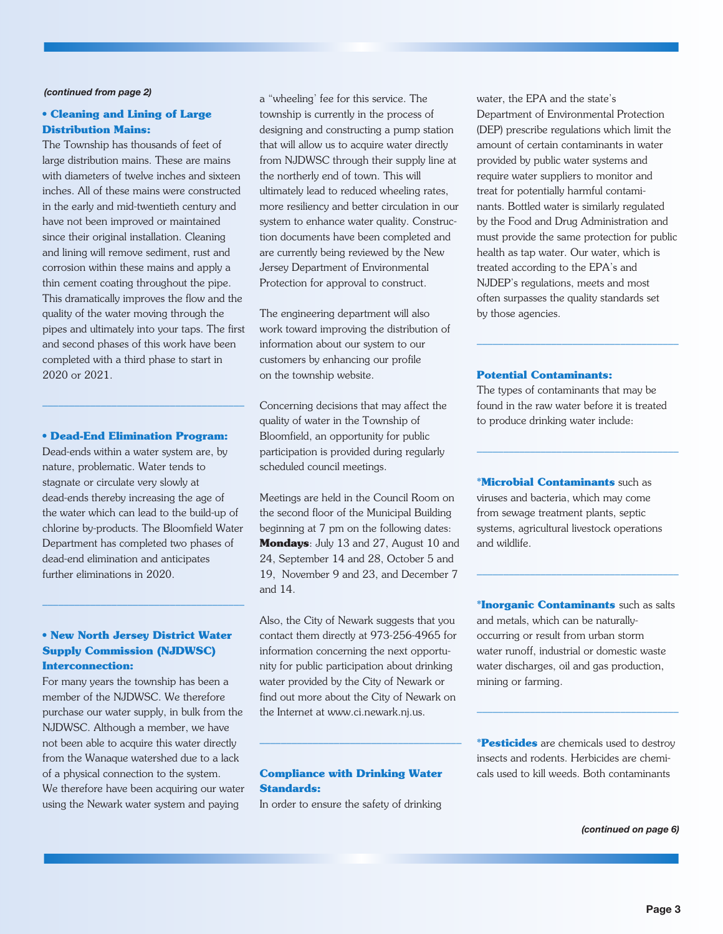#### *(continued from page 2)*

### **• Cleaning and Lining of Large Distribution Mains:**

The Township has thousands of feet of large distribution mains. These are mains with diameters of twelve inches and sixteen inches. All of these mains were constructed in the early and mid-twentieth century and have not been improved or maintained since their original installation. Cleaning and lining will remove sediment, rust and corrosion within these mains and apply a thin cement coating throughout the pipe. This dramatically improves the flow and the quality of the water moving through the pipes and ultimately into your taps. The first and second phases of this work have been completed with a third phase to start in 2020 or 2021.

#### **• Dead-End Elimination Program:**

––––––––––––––––––––––––––––––––––––––

Dead-ends within a water system are, by nature, problematic. Water tends to stagnate or circulate very slowly at dead-ends thereby increasing the age of the water which can lead to the build-up of chlorine by-products. The Bloomfield Water Department has completed two phases of dead-end elimination and anticipates further eliminations in 2020.

### **• New North Jersey District Water Supply Commission (NJDWSC) Interconnection:**

––––––––––––––––––––––––––––––––––––––

For many years the township has been a member of the NJDWSC. We therefore purchase our water supply, in bulk from the NJDWSC. Although a member, we have not been able to acquire this water directly from the Wanaque watershed due to a lack of a physical connection to the system. We therefore have been acquiring our water using the Newark water system and paying

a "wheeling' fee for this service. The township is currently in the process of designing and constructing a pump station that will allow us to acquire water directly from NJDWSC through their supply line at the northerly end of town. This will ultimately lead to reduced wheeling rates, more resiliency and better circulation in our system to enhance water quality. Construction documents have been completed and are currently being reviewed by the New Jersey Department of Environmental Protection for approval to construct.

The engineering department will also work toward improving the distribution of information about our system to our customers by enhancing our profile on the township website.

Concerning decisions that may affect the quality of water in the Township of Bloomfield, an opportunity for public participation is provided during regularly scheduled council meetings.

Meetings are held in the Council Room on the second floor of the Municipal Building beginning at 7 pm on the following dates: **Mondays**: July 13 and 27, August 10 and 24, September 14 and 28, October 5 and 19, November 9 and 23, and December 7 and 14.

Also, the City of Newark suggests that you contact them directly at 973-256-4965 for information concerning the next opportunity for public participation about drinking water provided by the City of Newark or find out more about the City of Newark on the Internet at www.ci.newark.nj.us.

#### **Compliance with Drinking Water Standards:**

––––––––––––––––––––––––––––––––––––––

In order to ensure the safety of drinking

water, the EPA and the state's Department of Environmental Protection (DEP) prescribe regulations which limit the amount of certain contaminants in water provided by public water systems and require water suppliers to monitor and treat for potentially harmful contaminants. Bottled water is similarly regulated by the Food and Drug Administration and must provide the same protection for public health as tap water. Our water, which is treated according to the EPA's and NJDEP's regulations, meets and most often surpasses the quality standards set by those agencies.

#### **Potential Contaminants:**

The types of contaminants that may be found in the raw water before it is treated to produce drinking water include:

––––––––––––––––––––––––––––––––––––––

––––––––––––––––––––––––––––––––––––––

**\*Microbial Contaminants** such as viruses and bacteria, which may come from sewage treatment plants, septic systems, agricultural livestock operations and wildlife.

**\*Inorganic Contaminants** such as salts and metals, which can be naturallyoccurring or result from urban storm water runoff, industrial or domestic waste water discharges, oil and gas production, mining or farming.

––––––––––––––––––––––––––––––––––––––

**\*Pesticides** are chemicals used to destroy insects and rodents. Herbicides are chemicals used to kill weeds. Both contaminants

––––––––––––––––––––––––––––––––––––––

*(continued on page 6)*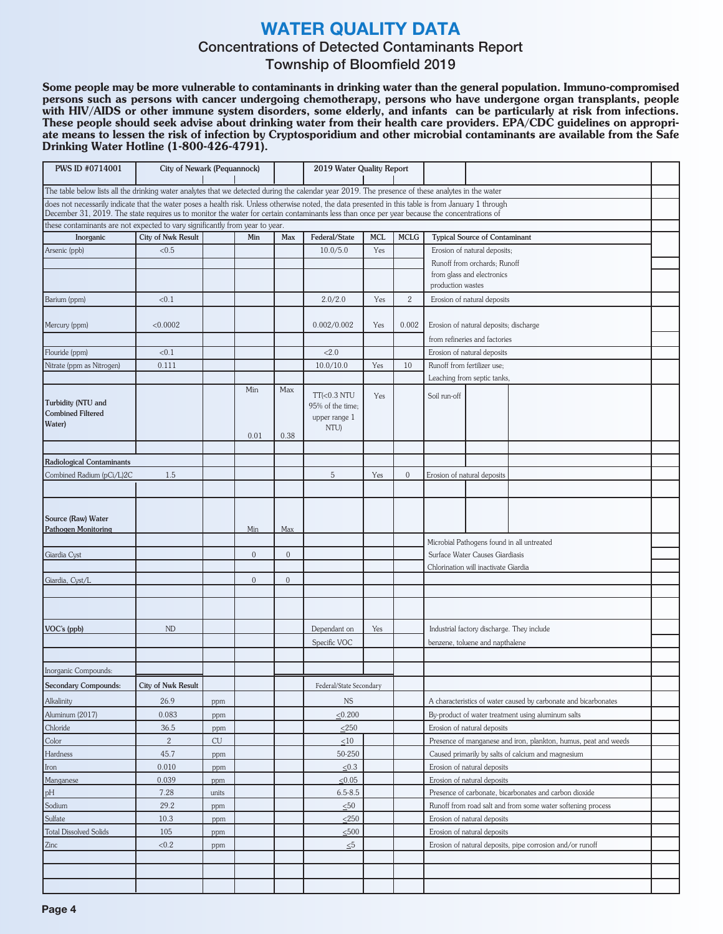# **WATER QUALITY DATA**

# Concentrations of Detected Contaminants Report

# Township of Bloomfield 2019

Some people may be more vulnerable to contaminants in drinking water than the general population. Immuno-compromised persons such as persons with cancer undergoing chemotherapy, persons who have undergone organ transplants, people with HIV/AIDS or other immune system disorders, some elderly, and infants can be particularly at risk from infections. These people should seek advise about drinking water from their health care providers. EPA/CDC guidelines on appropriate means to lessen the risk of infection by Cryptosporidium and other microbial contaminants are available from the Safe Drinking Water Hotline (1-800-426-4791).

| <b>PWS ID #0714001</b>                                                                                                                                                                                                                                                                               | City of Newark (Pequannock) |       |                |                | 2019 Water Quality Report |                |                                            |                                                              |                                                                 |                                                                 |  |  |  |  |  |  |
|------------------------------------------------------------------------------------------------------------------------------------------------------------------------------------------------------------------------------------------------------------------------------------------------------|-----------------------------|-------|----------------|----------------|---------------------------|----------------|--------------------------------------------|--------------------------------------------------------------|-----------------------------------------------------------------|-----------------------------------------------------------------|--|--|--|--|--|--|
| The table below lists all the drinking water analytes that we detected during the calendar year 2019. The presence of these analytes in the water                                                                                                                                                    |                             |       |                |                |                           |                |                                            |                                                              |                                                                 |                                                                 |  |  |  |  |  |  |
| does not necessarily indicate that the water poses a health risk. Unless otherwise noted, the data presented in this table is from January 1 through<br>December 31, 2019. The state requires us to monitor the water for certain contaminants less than once per year because the concentrations of |                             |       |                |                |                           |                |                                            |                                                              |                                                                 |                                                                 |  |  |  |  |  |  |
| these contaminants are not expected to vary significantly from year to year.                                                                                                                                                                                                                         |                             |       |                |                |                           |                |                                            |                                                              |                                                                 |                                                                 |  |  |  |  |  |  |
| Inorganic                                                                                                                                                                                                                                                                                            | <b>City of Nwk Result</b>   |       | Min            | Max            | Federal/State             | <b>MCL</b>     | <b>MCLG</b>                                |                                                              | <b>Typical Source of Contaminant</b>                            |                                                                 |  |  |  |  |  |  |
| Arsenic (ppb)                                                                                                                                                                                                                                                                                        | < 0.5                       |       |                |                | 10.0/5.0                  | Yes            |                                            | Erosion of natural deposits;                                 |                                                                 |                                                                 |  |  |  |  |  |  |
|                                                                                                                                                                                                                                                                                                      |                             |       |                |                |                           |                |                                            |                                                              | Runoff from orchards; Runoff                                    |                                                                 |  |  |  |  |  |  |
|                                                                                                                                                                                                                                                                                                      |                             |       |                |                |                           |                |                                            | from glass and electronics                                   |                                                                 |                                                                 |  |  |  |  |  |  |
|                                                                                                                                                                                                                                                                                                      |                             |       |                |                |                           |                |                                            | production wastes                                            |                                                                 |                                                                 |  |  |  |  |  |  |
| Barium (ppm)                                                                                                                                                                                                                                                                                         | < 0.1                       |       |                |                | 2.0/2.0                   | Yes            | $\mathbf{2}$                               |                                                              | Erosion of natural deposits                                     |                                                                 |  |  |  |  |  |  |
|                                                                                                                                                                                                                                                                                                      |                             |       |                |                |                           |                |                                            |                                                              |                                                                 |                                                                 |  |  |  |  |  |  |
| Mercury (ppm)                                                                                                                                                                                                                                                                                        | < 0.0002                    |       |                |                | 0.002/0.002               | Yes            | 0.002                                      |                                                              | Erosion of natural deposits; discharge                          |                                                                 |  |  |  |  |  |  |
| Flouride (ppm)                                                                                                                                                                                                                                                                                       | < 0.1                       |       |                |                | 22.0                      |                |                                            | from refineries and factories<br>Erosion of natural deposits |                                                                 |                                                                 |  |  |  |  |  |  |
| Nitrate (ppm as Nitrogen)                                                                                                                                                                                                                                                                            | 0.111                       |       |                |                | 10.0/10.0                 | Yes            | 10                                         | Runoff from fertilizer use;                                  |                                                                 |                                                                 |  |  |  |  |  |  |
|                                                                                                                                                                                                                                                                                                      |                             |       |                |                |                           |                |                                            |                                                              | Leaching from septic tanks,                                     |                                                                 |  |  |  |  |  |  |
|                                                                                                                                                                                                                                                                                                      |                             |       | Min            | Max            | $TT(0.3 NTU)$             |                |                                            |                                                              |                                                                 |                                                                 |  |  |  |  |  |  |
| Turbidity (NTU and                                                                                                                                                                                                                                                                                   |                             |       |                |                | 95% of the time;          | Yes            |                                            | Soil run-off                                                 |                                                                 |                                                                 |  |  |  |  |  |  |
| <b>Combined Filtered</b>                                                                                                                                                                                                                                                                             |                             |       |                |                | upper range 1             |                |                                            |                                                              |                                                                 |                                                                 |  |  |  |  |  |  |
| Water)                                                                                                                                                                                                                                                                                               |                             |       | 0.01           | 0.38           | NTU)                      |                |                                            |                                                              |                                                                 |                                                                 |  |  |  |  |  |  |
|                                                                                                                                                                                                                                                                                                      |                             |       |                |                |                           |                |                                            |                                                              |                                                                 |                                                                 |  |  |  |  |  |  |
| Radiological Contaminants                                                                                                                                                                                                                                                                            |                             |       |                |                |                           |                |                                            |                                                              |                                                                 |                                                                 |  |  |  |  |  |  |
| Combined Radium (pCi/L)2C                                                                                                                                                                                                                                                                            |                             |       |                | 5              | Yes                       | $\overline{0}$ | Erosion of natural deposits                |                                                              |                                                                 |                                                                 |  |  |  |  |  |  |
|                                                                                                                                                                                                                                                                                                      |                             |       |                |                |                           |                |                                            |                                                              |                                                                 |                                                                 |  |  |  |  |  |  |
|                                                                                                                                                                                                                                                                                                      |                             |       |                |                |                           |                |                                            |                                                              |                                                                 |                                                                 |  |  |  |  |  |  |
| Source (Raw) Water                                                                                                                                                                                                                                                                                   |                             |       |                |                |                           |                |                                            |                                                              |                                                                 |                                                                 |  |  |  |  |  |  |
| <b>Pathogen Monitoring</b>                                                                                                                                                                                                                                                                           |                             |       | Min            | Max            |                           |                |                                            |                                                              |                                                                 |                                                                 |  |  |  |  |  |  |
|                                                                                                                                                                                                                                                                                                      |                             |       |                |                |                           |                |                                            |                                                              |                                                                 | Microbial Pathogens found in all untreated                      |  |  |  |  |  |  |
| Giardia Cyst                                                                                                                                                                                                                                                                                         |                             |       | $\overline{0}$ | $\mathbf{0}$   |                           |                |                                            | Surface Water Causes Giardiasis                              |                                                                 |                                                                 |  |  |  |  |  |  |
|                                                                                                                                                                                                                                                                                                      |                             |       |                |                |                           |                |                                            | Chlorination will inactivate Giardia                         |                                                                 |                                                                 |  |  |  |  |  |  |
| Giardia, Cyst/L                                                                                                                                                                                                                                                                                      |                             |       | $\overline{0}$ | $\overline{0}$ |                           |                |                                            |                                                              |                                                                 |                                                                 |  |  |  |  |  |  |
|                                                                                                                                                                                                                                                                                                      |                             |       |                |                |                           |                |                                            |                                                              |                                                                 |                                                                 |  |  |  |  |  |  |
|                                                                                                                                                                                                                                                                                                      |                             |       |                |                |                           |                |                                            |                                                              |                                                                 |                                                                 |  |  |  |  |  |  |
| VOC's (ppb)                                                                                                                                                                                                                                                                                          | ND                          |       |                |                | Dependant on              | Yes            | Industrial factory discharge. They include |                                                              |                                                                 |                                                                 |  |  |  |  |  |  |
|                                                                                                                                                                                                                                                                                                      |                             |       |                |                | Specific VOC              |                |                                            |                                                              | benzene, toluene and napthalene                                 |                                                                 |  |  |  |  |  |  |
|                                                                                                                                                                                                                                                                                                      |                             |       |                |                |                           |                |                                            |                                                              |                                                                 |                                                                 |  |  |  |  |  |  |
| Inorganic Compounds:                                                                                                                                                                                                                                                                                 |                             |       |                |                |                           |                |                                            |                                                              |                                                                 |                                                                 |  |  |  |  |  |  |
| <b>Secondary Compounds:</b>                                                                                                                                                                                                                                                                          | <b>City of Nwk Result</b>   |       |                |                | Federal/State Secondary   |                |                                            |                                                              |                                                                 |                                                                 |  |  |  |  |  |  |
| Alkalinity                                                                                                                                                                                                                                                                                           | 26.9                        | ppm   |                |                | $_{\rm NS}$               |                |                                            |                                                              |                                                                 | A characteristics of water caused by carbonate and bicarbonates |  |  |  |  |  |  |
| Aluminum (2017)                                                                                                                                                                                                                                                                                      | 0.083                       | ppm   |                |                | $\leq 0.200$              |                |                                            |                                                              | By-product of water treatment using aluminum salts              |                                                                 |  |  |  |  |  |  |
| Chloride                                                                                                                                                                                                                                                                                             | 36.5                        | ppm   |                |                | $\leq$ 250                |                |                                            | Erosion of natural deposits                                  |                                                                 |                                                                 |  |  |  |  |  |  |
| Color                                                                                                                                                                                                                                                                                                | $\sqrt{2}$                  | CU    |                |                | $\leq 10$                 |                |                                            |                                                              | Presence of manganese and iron, plankton, humus, peat and weeds |                                                                 |  |  |  |  |  |  |
| Hardness                                                                                                                                                                                                                                                                                             | 45.7                        | ppm   |                |                | 50-250                    |                |                                            |                                                              | Caused primarily by salts of calcium and magnesium              |                                                                 |  |  |  |  |  |  |
| Iron                                                                                                                                                                                                                                                                                                 | 0.010                       | ppm   |                |                | $\leq 0.3$                |                |                                            | Erosion of natural deposits                                  |                                                                 |                                                                 |  |  |  |  |  |  |
| Manganese                                                                                                                                                                                                                                                                                            | 0.039                       | ppm   |                |                | $\leq 0.05$               |                |                                            |                                                              | Erosion of natural deposits                                     |                                                                 |  |  |  |  |  |  |
| pH                                                                                                                                                                                                                                                                                                   | 7.28                        | units |                |                | $6.5 - 8.5$               |                |                                            |                                                              | Presence of carbonate, bicarbonates and carbon dioxide          |                                                                 |  |  |  |  |  |  |
| Sodium                                                                                                                                                                                                                                                                                               | 29.2                        | ppm   |                |                | $\leq 50$                 |                |                                            |                                                              |                                                                 | Runoff from road salt and from some water softening process     |  |  |  |  |  |  |
| Sulfate                                                                                                                                                                                                                                                                                              | 10.3                        | ppm   |                |                | $\leq 250$                |                |                                            | Erosion of natural deposits                                  |                                                                 |                                                                 |  |  |  |  |  |  |
| <b>Total Dissolved Solids</b><br>Zinc                                                                                                                                                                                                                                                                | 105<br>< 0.2                | ppm   |                |                | $\leq 500$                |                |                                            | Erosion of natural deposits                                  | Erosion of natural deposits, pipe corrosion and/or runoff       |                                                                 |  |  |  |  |  |  |
|                                                                                                                                                                                                                                                                                                      |                             | ppm   |                |                | $\leq 5$                  |                |                                            |                                                              |                                                                 |                                                                 |  |  |  |  |  |  |
|                                                                                                                                                                                                                                                                                                      |                             |       |                |                |                           |                |                                            |                                                              |                                                                 |                                                                 |  |  |  |  |  |  |
|                                                                                                                                                                                                                                                                                                      |                             |       |                |                |                           |                |                                            |                                                              |                                                                 |                                                                 |  |  |  |  |  |  |
|                                                                                                                                                                                                                                                                                                      |                             |       |                |                |                           |                |                                            |                                                              |                                                                 |                                                                 |  |  |  |  |  |  |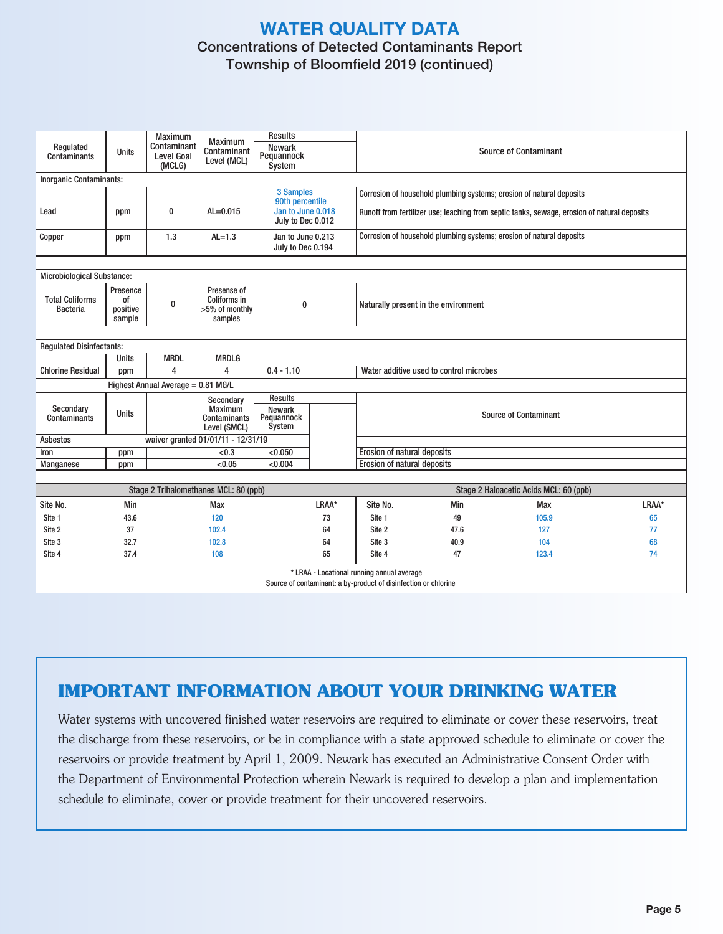# **WATER QUALITY DATA** Concentrations of Detected Contaminants Report Township of Bloomfield 2019 (continued)

| Regulated<br><b>Contaminants</b>            | <b>Units</b>                                                                                                                           | <b>Maximum</b><br>Contaminant<br><b>Level Goal</b><br>(MCLG) | <b>Maximum</b><br>Contaminant<br>Level (MCL)             | <b>Results</b><br><b>Newark</b><br>Pequannock<br>System                |       |                                                                                                                                                                     |                                         | <b>Source of Contaminant</b>           |       |  |  |  |  |  |
|---------------------------------------------|----------------------------------------------------------------------------------------------------------------------------------------|--------------------------------------------------------------|----------------------------------------------------------|------------------------------------------------------------------------|-------|---------------------------------------------------------------------------------------------------------------------------------------------------------------------|-----------------------------------------|----------------------------------------|-------|--|--|--|--|--|
| <b>Inorganic Contaminants:</b>              |                                                                                                                                        |                                                              |                                                          |                                                                        |       |                                                                                                                                                                     |                                         |                                        |       |  |  |  |  |  |
| Lead                                        | ppm                                                                                                                                    | $\bf{0}$                                                     | $AL = 0.015$                                             | 3 Samples<br>90th percentile<br>Jan to June 0.018<br>July to Dec 0.012 |       | Corrosion of household plumbing systems; erosion of natural deposits<br>Runoff from fertilizer use; leaching from septic tanks, sewage, erosion of natural deposits |                                         |                                        |       |  |  |  |  |  |
| Copper                                      | ppm                                                                                                                                    | 1.3                                                          | $AL=1.3$                                                 | Jan to June 0.213<br>July to Dec 0.194                                 |       | Corrosion of household plumbing systems; erosion of natural deposits                                                                                                |                                         |                                        |       |  |  |  |  |  |
| <b>Microbiological Substance:</b>           |                                                                                                                                        |                                                              |                                                          |                                                                        |       |                                                                                                                                                                     |                                         |                                        |       |  |  |  |  |  |
| <b>Total Coliforms</b><br><b>Bacteria</b>   | Presence<br>0f<br>positive<br>sample                                                                                                   | $\bf{0}$                                                     | Presense of<br>Coliforms in<br>>5% of monthly<br>samples | 0                                                                      |       | Naturally present in the environment                                                                                                                                |                                         |                                        |       |  |  |  |  |  |
|                                             |                                                                                                                                        |                                                              |                                                          |                                                                        |       |                                                                                                                                                                     |                                         |                                        |       |  |  |  |  |  |
| <b>Regulated Disinfectants:</b>             |                                                                                                                                        |                                                              |                                                          |                                                                        |       |                                                                                                                                                                     |                                         |                                        |       |  |  |  |  |  |
| <b>Units</b><br><b>MRDL</b><br><b>MRDLG</b> |                                                                                                                                        |                                                              |                                                          |                                                                        |       |                                                                                                                                                                     |                                         |                                        |       |  |  |  |  |  |
| <b>Chlorine Residual</b>                    | ppm                                                                                                                                    | 4                                                            | 4                                                        | $0.4 - 1.10$                                                           |       |                                                                                                                                                                     | Water additive used to control microbes |                                        |       |  |  |  |  |  |
| Highest Annual Average = 0.81 MG/L          |                                                                                                                                        |                                                              |                                                          |                                                                        |       |                                                                                                                                                                     |                                         |                                        |       |  |  |  |  |  |
| Secondary<br><b>Contaminants</b>            | <b>Results</b><br>Secondary<br><b>Maximum</b><br><b>Newark</b><br><b>Units</b><br>Pequannock<br>Contaminants<br>System<br>Level (SMCL) |                                                              |                                                          |                                                                        |       | <b>Source of Contaminant</b>                                                                                                                                        |                                         |                                        |       |  |  |  |  |  |
| <b>Asbestos</b>                             |                                                                                                                                        |                                                              | waiver granted 01/01/11 - 12/31/19                       |                                                                        |       |                                                                                                                                                                     |                                         |                                        |       |  |  |  |  |  |
| Iron                                        | ppm                                                                                                                                    |                                                              | < 0.3                                                    | < 0.050                                                                |       | Erosion of natural deposits                                                                                                                                         |                                         |                                        |       |  |  |  |  |  |
| Manganese                                   | ppm                                                                                                                                    |                                                              | < 0.05                                                   | < 0.004                                                                |       | Erosion of natural deposits                                                                                                                                         |                                         |                                        |       |  |  |  |  |  |
|                                             |                                                                                                                                        |                                                              |                                                          |                                                                        |       |                                                                                                                                                                     |                                         |                                        |       |  |  |  |  |  |
|                                             |                                                                                                                                        |                                                              | Stage 2 Trihalomethanes MCL: 80 (ppb)                    |                                                                        |       |                                                                                                                                                                     |                                         | Stage 2 Haloacetic Acids MCL: 60 (ppb) |       |  |  |  |  |  |
| Site No.                                    | Min                                                                                                                                    |                                                              | Max                                                      |                                                                        | LRAA* | Site No.                                                                                                                                                            | Min                                     | Max                                    | LRAA* |  |  |  |  |  |
| Site 1                                      | 43.6                                                                                                                                   |                                                              | 120                                                      |                                                                        | 73    | Site 1                                                                                                                                                              | 49                                      | 105.9                                  | 65    |  |  |  |  |  |
| Site 2                                      | 37                                                                                                                                     |                                                              | 102.4                                                    |                                                                        | 64    | Site 2                                                                                                                                                              | 47.6                                    | 127                                    | 77    |  |  |  |  |  |
| Site 3                                      | 32.7                                                                                                                                   |                                                              | 102.8                                                    |                                                                        | 64    | Site 3                                                                                                                                                              | 40.9                                    | 104                                    | 68    |  |  |  |  |  |
| Site 4                                      | 37.4                                                                                                                                   |                                                              | 108                                                      |                                                                        | 65    | Site 4                                                                                                                                                              | 47                                      | 123.4                                  | 74    |  |  |  |  |  |
|                                             | * LRAA - Locational running annual average<br>Source of contaminant: a by-product of disinfection or chlorine                          |                                                              |                                                          |                                                                        |       |                                                                                                                                                                     |                                         |                                        |       |  |  |  |  |  |

# **IMPORTANT INFORMATION ABOUT YOUR DRINKING WATER**

Water systems with uncovered finished water reservoirs are required to eliminate or cover these reservoirs, treat the discharge from these reservoirs, or be in compliance with a state approved schedule to eliminate or cover the reservoirs or provide treatment by April 1, 2009. Newark has executed an Administrative Consent Order with the Department of Environmental Protection wherein Newark is required to develop a plan and implementation schedule to eliminate, cover or provide treatment for their uncovered reservoirs.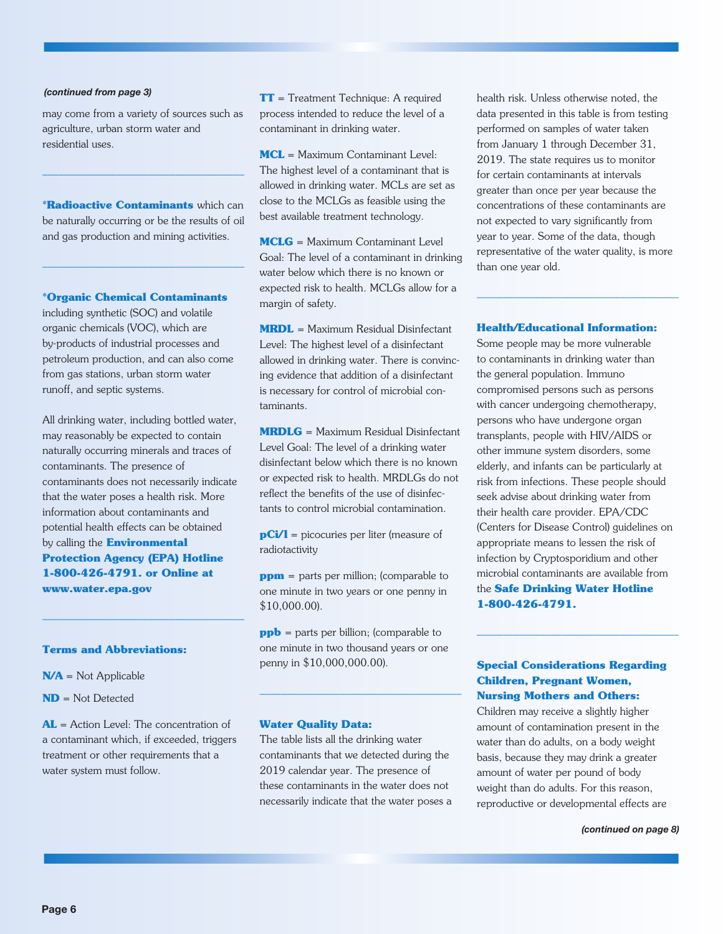#### *(continued from page 3)*

may come from a variety of sources such as agriculture, urban storm water and residential uses.

**\*Radioactive Contaminants** which can be naturally occurring or be the results of oil and gas production and mining activities.

––––––––––––––––––––––––––––––––––––––

––––––––––––––––––––––––––––––––––––––

#### **\*Organic Chemical Contaminants**

including synthetic (SOC) and volatile organic chemicals (VOC), which are by-products of industrial processes and petroleum production, and can also come from gas stations, urban storm water runoff, and septic systems.

All drinking water, including bottled water, may reasonably be expected to contain naturally occurring minerals and traces of contaminants. The presence of contaminants does not necessarily indicate that the water poses a health risk. More information about contaminants and potential health effects can be obtained by calling the **Environmental Protection Agency (EPA) Hotline 1-800-426-4791. or Online at www.water.epa.gov**

––––––––––––––––––––––––––––––––––––––

#### **Terms and Abbreviations:**

**N/A** = Not Applicable

**ND** = Not Detected

**AL** = Action Level: The concentration of a contaminant which, if exceeded, triggers treatment or other requirements that a water system must follow.

**TT** = Treatment Technique: A required process intended to reduce the level of a contaminant in drinking water.

**MCL** = Maximum Contaminant Level: The highest level of a contaminant that is allowed in drinking water. MCLs are set as close to the MCLGs as feasible using the best available treatment technology.

**MCLG** = Maximum Contaminant Level Goal: The level of a contaminant in drinking water below which there is no known or expected risk to health. MCLGs allow for a margin of safety.

**MRDL** = Maximum Residual Disinfectant Level: The highest level of a disinfectant allowed in drinking water. There is convincing evidence that addition of a disinfectant is necessary for control of microbial contaminants.

**MRDLG** = Maximum Residual Disinfectant Level Goal: The level of a drinking water disinfectant below which there is no known or expected risk to health. MRDLGs do not reflect the benefits of the use of disinfectants to control microbial contamination.

**pCi/l** = picocuries per liter (measure of radiotactivity

**ppm** = parts per million; (comparable to one minute in two years or one penny in \$10,000.00).

**ppb** = parts per billion; (comparable to one minute in two thousand years or one penny in \$10,000,000.00).

––––––––––––––––––––––––––––––––––––––

#### **Water Quality Data:**

The table lists all the drinking water contaminants that we detected during the 2019 calendar year. The presence of these contaminants in the water does not necessarily indicate that the water poses a health risk. Unless otherwise noted, the data presented in this table is from testing performed on samples of water taken from January 1 through December 31, 2019. The state requires us to monitor for certain contaminants at intervals greater than once per year because the concentrations of these contaminants are not expected to vary significantly from year to year. Some of the data, though representative of the water quality, is more than one year old.

#### **Health/Educational Information:**

––––––––––––––––––––––––––––––––––––––

Some people may be more vulnerable to contaminants in drinking water than the general population. Immuno compromised persons such as persons with cancer undergoing chemotherapy, persons who have undergone organ transplants, people with HIV/AIDS or other immune system disorders, some elderly, and infants can be particularly at risk from infections. These people should seek advise about drinking water from their health care provider. EPA/CDC (Centers for Disease Control) guidelines on appropriate means to lessen the risk of infection by Cryptosporidium and other microbial contaminants are available from the **Safe Drinking Water Hotline 1-800-426-4791.**

### **Special Considerations Regarding Children, Pregnant Women, Nursing Mothers and Others:**

––––––––––––––––––––––––––––––––––––––

Children may receive a slightly higher amount of contamination present in the water than do adults, on a body weight basis, because they may drink a greater amount of water per pound of body weight than do adults. For this reason, reproductive or developmental effects are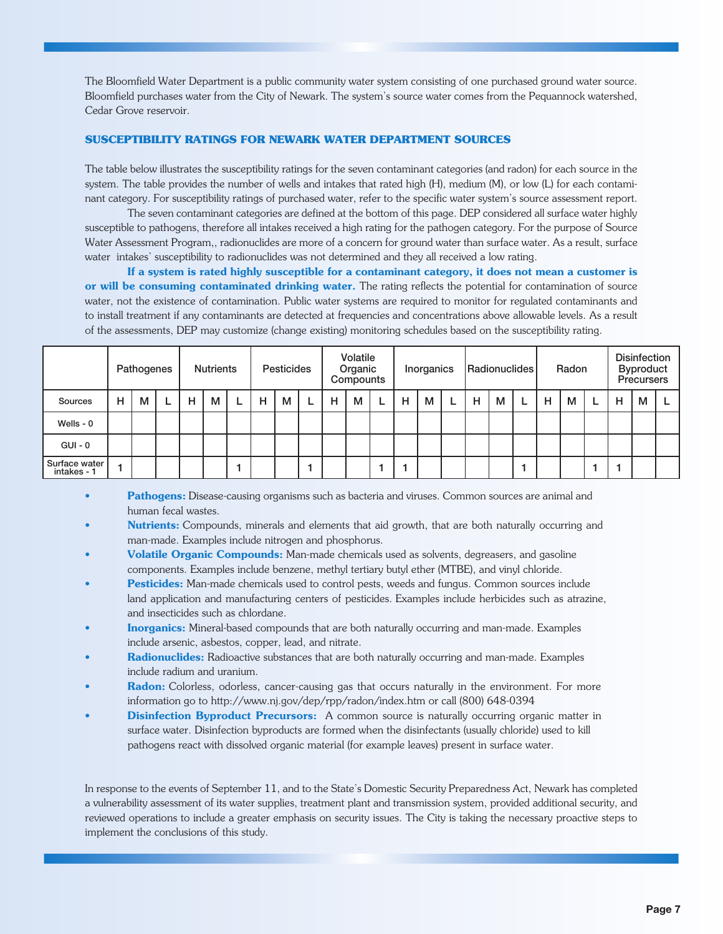The Bloomfield Water Department is a public community water system consisting of one purchased ground water source. Bloomfield purchases water from the City of Newark. The system's source water comes from the Pequannock watershed, Cedar Grove reservoir.

#### **SUSCEPTIBILITY RATINGS FOR NEWARK WATER DEPARTMENT SOURCES**

The table below illustrates the susceptibility ratings for the seven contaminant categories (and radon) for each source in the system. The table provides the number of wells and intakes that rated high (H), medium (M), or low (L) for each contaminant category. For susceptibility ratings of purchased water, refer to the specific water system's source assessment report.

The seven contaminant categories are defined at the bottom of this page. DEP considered all surface water highly susceptible to pathogens, therefore all intakes received a high rating for the pathogen category. For the purpose of Source Water Assessment Program,, radionuclides are more of a concern for ground water than surface water. As a result, surface water intakes' susceptibility to radionuclides was not determined and they all received a low rating.

If a system is rated highly susceptible for a contaminant category, it does not mean a customer is or will be consuming contaminated drinking water. The rating reflects the potential for contamination of source water, not the existence of contamination. Public water systems are required to monitor for regulated contaminants and to install treatment if any contaminants are detected at frequencies and concentrations above allowable levels. As a result of the assessments, DEP may customize (change existing) monitoring schedules based on the susceptibility rating.

|                              |   | Pathogenes |  | <b>Nutrients</b> |   |  | <b>Pesticides</b> |   |  | Volatile<br>Organic<br>Compounts |   |   | Inorganics |   |   | Radionuclides |   |  | Radon |   |  | <b>Disinfection</b><br><b>Byproduct</b><br><b>Precursers</b> |   |    |
|------------------------------|---|------------|--|------------------|---|--|-------------------|---|--|----------------------------------|---|---|------------|---|---|---------------|---|--|-------|---|--|--------------------------------------------------------------|---|----|
| Sources                      | н | м          |  | н                | M |  | н                 | м |  | н                                | м | L | H          | М | L | н             | м |  | н     | м |  | н                                                            | M | L. |
| Wells - $0$                  |   |            |  |                  |   |  |                   |   |  |                                  |   |   |            |   |   |               |   |  |       |   |  |                                                              |   |    |
| $GUI - 0$                    |   |            |  |                  |   |  |                   |   |  |                                  |   |   |            |   |   |               |   |  |       |   |  |                                                              |   |    |
| Surface water<br>intakes - 1 |   |            |  |                  |   |  |                   |   |  |                                  |   |   |            |   |   |               |   |  |       |   |  |                                                              |   |    |

Pathogens: Disease-causing organisms such as bacteria and viruses. Common sources are animal and human fecal wastes.

- Nutrients: Compounds, minerals and elements that aid growth, that are both naturally occurring and man-made. Examples include nitrogen and phosphorus.
- Volatile Organic Compounds: Man-made chemicals used as solvents, degreasers, and gasoline components. Examples include benzene, methyl tertiary butyl ether (MTBE), and vinyl chloride.
- Pesticides: Man-made chemicals used to control pests, weeds and fungus. Common sources include land application and manufacturing centers of pesticides. Examples include herbicides such as atrazine, and insecticides such as chlordane.
- **Inorganics:** Mineral-based compounds that are both naturally occurring and man-made. Examples include arsenic, asbestos, copper, lead, and nitrate.
- **Radionuclides:** Radioactive substances that are both naturally occurring and man-made. Examples include radium and uranium.
- Radon: Colorless, odorless, cancer-causing gas that occurs naturally in the environment. For more information go to http://www.nj.gov/dep/rpp/radon/index.htm or call (800) 648-0394
- **Disinfection Byproduct Precursors:** A common source is naturally occurring organic matter in surface water. Disinfection byproducts are formed when the disinfectants (usually chloride) used to kill pathogens react with dissolved organic material (for example leaves) present in surface water.

In response to the events of September 11, and to the State's Domestic Security Preparedness Act, Newark has completed a vulnerability assessment of its water supplies, treatment plant and transmission system, provided additional security, and reviewed operations to include a greater emphasis on security issues. The City is taking the necessary proactive steps to implement the conclusions of this study.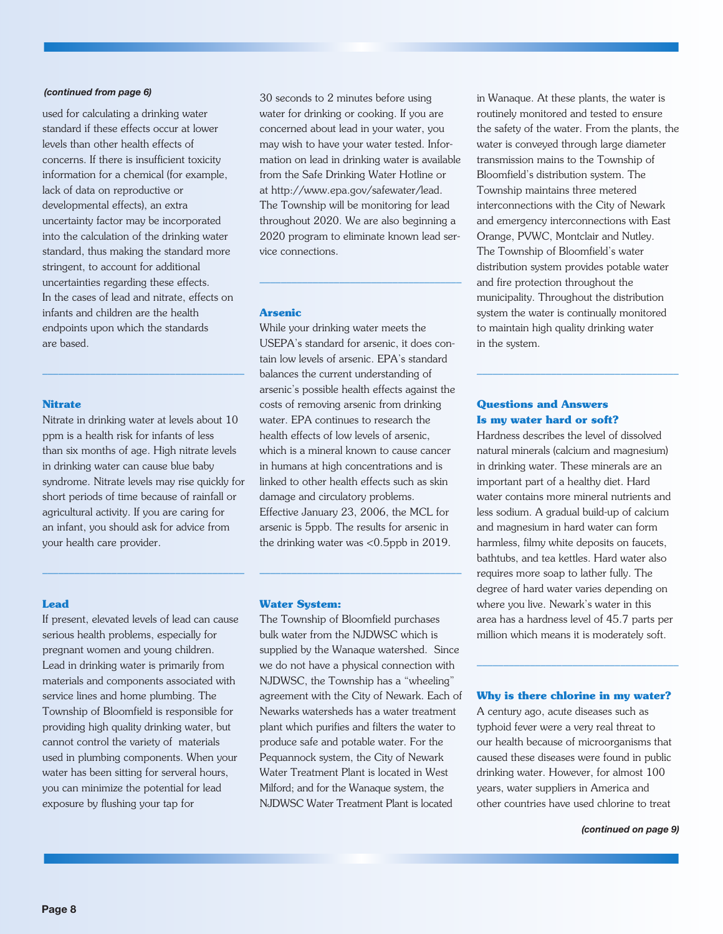#### *(continued from page 6)*

used for calculating a drinking water standard if these effects occur at lower levels than other health effects of concerns. If there is insufficient toxicity information for a chemical (for example, lack of data on reproductive or developmental effects), an extra uncertainty factor may be incorporated into the calculation of the drinking water standard, thus making the standard more stringent, to account for additional uncertainties regarding these effects. In the cases of lead and nitrate, effects on infants and children are the health endpoints upon which the standards are based.

#### **Nitrate**

Nitrate in drinking water at levels about 10 ppm is a health risk for infants of less than six months of age. High nitrate levels in drinking water can cause blue baby syndrome. Nitrate levels may rise quickly for short periods of time because of rainfall or agricultural activity. If you are caring for an infant, you should ask for advice from your health care provider.

––––––––––––––––––––––––––––––––––––––

––––––––––––––––––––––––––––––––––––––

30 seconds to 2 minutes before using water for drinking or cooking. If you are concerned about lead in your water, you may wish to have your water tested. Information on lead in drinking water is available from the Safe Drinking Water Hotline or at http://www.epa.gov/safewater/lead. The Township will be monitoring for lead throughout 2020. We are also beginning a 2020 program to eliminate known lead service connections.

––––––––––––––––––––––––––––––––––––––

#### **Arsenic**

While your drinking water meets the USEPA's standard for arsenic, it does contain low levels of arsenic. EPA's standard balances the current understanding of arsenic's possible health effects against the costs of removing arsenic from drinking water. EPA continues to research the health effects of low levels of arsenic, which is a mineral known to cause cancer in humans at high concentrations and is linked to other health effects such as skin damage and circulatory problems. Effective January 23, 2006, the MCL for arsenic is 5ppb. The results for arsenic in the drinking water was <0.5ppb in 2019.

#### **Lead**

If present, elevated levels of lead can cause serious health problems, especially for pregnant women and young children. Lead in drinking water is primarily from materials and components associated with service lines and home plumbing. The Township of Bloomfield is responsible for providing high quality drinking water, but cannot control the variety of materials used in plumbing components. When your water has been sitting for serveral hours, you can minimize the potential for lead exposure by flushing your tap for

#### **Water System:**

The Township of Bloomfield purchases bulk water from the NJDWSC which is supplied by the Wanaque watershed. Since we do not have a physical connection with NJDWSC, the Township has a "wheeling" agreement with the City of Newark. Each of Newarks watersheds has a water treatment plant which purifies and filters the water to produce safe and potable water. For the Pequannock system, the City of Newark Water Treatment Plant is located in West Milford; and for the Wanaque system, the NJDWSC Water Treatment Plant is located

––––––––––––––––––––––––––––––––––––––

in Wanaque. At these plants, the water is routinely monitored and tested to ensure the safety of the water. From the plants, the water is conveyed through large diameter transmission mains to the Township of Bloomfield's distribution system. The Township maintains three metered interconnections with the City of Newark and emergency interconnections with East Orange, PVWC, Montclair and Nutley. The Township of Bloomfield's water distribution system provides potable water and fire protection throughout the municipality. Throughout the distribution system the water is continually monitored to maintain high quality drinking water in the system.

––––––––––––––––––––––––––––––––––––––

#### **Questions and Answers Is my water hard or soft?**

Hardness describes the level of dissolved natural minerals (calcium and magnesium) in drinking water. These minerals are an important part of a healthy diet. Hard water contains more mineral nutrients and less sodium. A gradual build-up of calcium and magnesium in hard water can form harmless, filmy white deposits on faucets, bathtubs, and tea kettles. Hard water also requires more soap to lather fully. The degree of hard water varies depending on where you live. Newark's water in this area has a hardness level of 45.7 parts per million which means it is moderately soft.

#### **Why is there chlorine in my water?**

––––––––––––––––––––––––––––––––––––––

A century ago, acute diseases such as typhoid fever were a very real threat to our health because of microorganisms that caused these diseases were found in public drinking water. However, for almost 100 years, water suppliers in America and other countries have used chlorine to treat

#### *(continued on page 9)*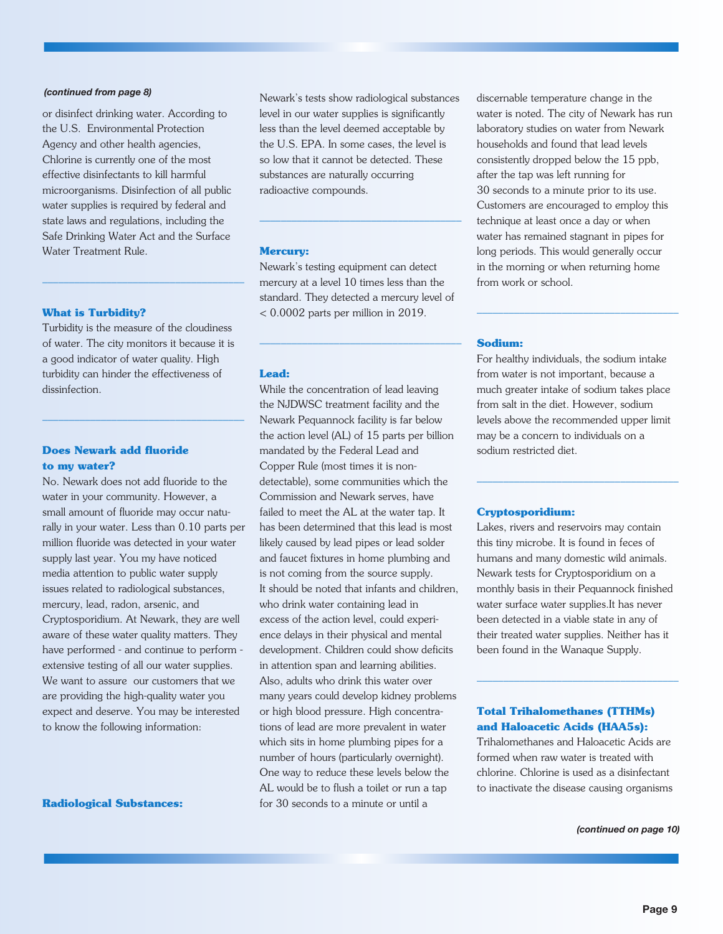#### *(continued from page 8)*

or disinfect drinking water. According to the U.S. Environmental Protection Agency and other health agencies, Chlorine is currently one of the most effective disinfectants to kill harmful microorganisms. Disinfection of all public water supplies is required by federal and state laws and regulations, including the Safe Drinking Water Act and the Surface Water Treatment Rule.

#### **What is Turbidity?**

Turbidity is the measure of the cloudiness of water. The city monitors it because it is a good indicator of water quality. High turbidity can hinder the effectiveness of dissinfection.

––––––––––––––––––––––––––––––––––––––

––––––––––––––––––––––––––––––––––––––

#### **Does Newark add fluoride to my water?**

No. Newark does not add fluoride to the water in your community. However, a small amount of fluoride may occur naturally in your water. Less than 0.10 parts per million fluoride was detected in your water supply last year. You my have noticed media attention to public water supply issues related to radiological substances, mercury, lead, radon, arsenic, and Cryptosporidium. At Newark, they are well aware of these water quality matters. They have performed - and continue to perform extensive testing of all our water supplies. We want to assure our customers that we are providing the high-quality water you expect and deserve. You may be interested to know the following information:

**Radiological Substances:**

Newark's tests show radiological substances level in our water supplies is significantly less than the level deemed acceptable by the U.S. EPA. In some cases, the level is so low that it cannot be detected. These substances are naturally occurring radioactive compounds.

––––––––––––––––––––––––––––––––––––––

#### **Mercury:**

Newark's testing equipment can detect mercury at a level 10 times less than the standard. They detected a mercury level of < 0.0002 parts per million in 2019.

––––––––––––––––––––––––––––––––––––––

#### **Lead:**

While the concentration of lead leaving the NJDWSC treatment facility and the Newark Pequannock facility is far below the action level (AL) of 15 parts per billion mandated by the Federal Lead and Copper Rule (most times it is nondetectable), some communities which the Commission and Newark serves, have failed to meet the AL at the water tap. It has been determined that this lead is most likely caused by lead pipes or lead solder and faucet fixtures in home plumbing and is not coming from the source supply. It should be noted that infants and children, who drink water containing lead in excess of the action level, could experience delays in their physical and mental development. Children could show deficits in attention span and learning abilities. Also, adults who drink this water over many years could develop kidney problems or high blood pressure. High concentrations of lead are more prevalent in water which sits in home plumbing pipes for a number of hours (particularly overnight). One way to reduce these levels below the AL would be to flush a toilet or run a tap for 30 seconds to a minute or until a

discernable temperature change in the water is noted. The city of Newark has run laboratory studies on water from Newark households and found that lead levels consistently dropped below the 15 ppb, after the tap was left running for 30 seconds to a minute prior to its use. Customers are encouraged to employ this technique at least once a day or when water has remained stagnant in pipes for long periods. This would generally occur in the morning or when returning home from work or school.

#### **Sodium:**

For healthy individuals, the sodium intake from water is not important, because a much greater intake of sodium takes place from salt in the diet. However, sodium levels above the recommended upper limit may be a concern to individuals on a sodium restricted diet.

––––––––––––––––––––––––––––––––––––––

––––––––––––––––––––––––––––––––––––––

#### **Cryptosporidium:**

Lakes, rivers and reservoirs may contain this tiny microbe. It is found in feces of humans and many domestic wild animals. Newark tests for Cryptosporidium on a monthly basis in their Pequannock finished water surface water supplies.It has never been detected in a viable state in any of their treated water supplies. Neither has it been found in the Wanaque Supply.

### **Total Trihalomethanes (TTHMs) and Haloacetic Acids (HAA5s):**

Trihalomethanes and Haloacetic Acids are formed when raw water is treated with chlorine. Chlorine is used as a disinfectant to inactivate the disease causing organisms

––––––––––––––––––––––––––––––––––––––

*(continued on page 10)*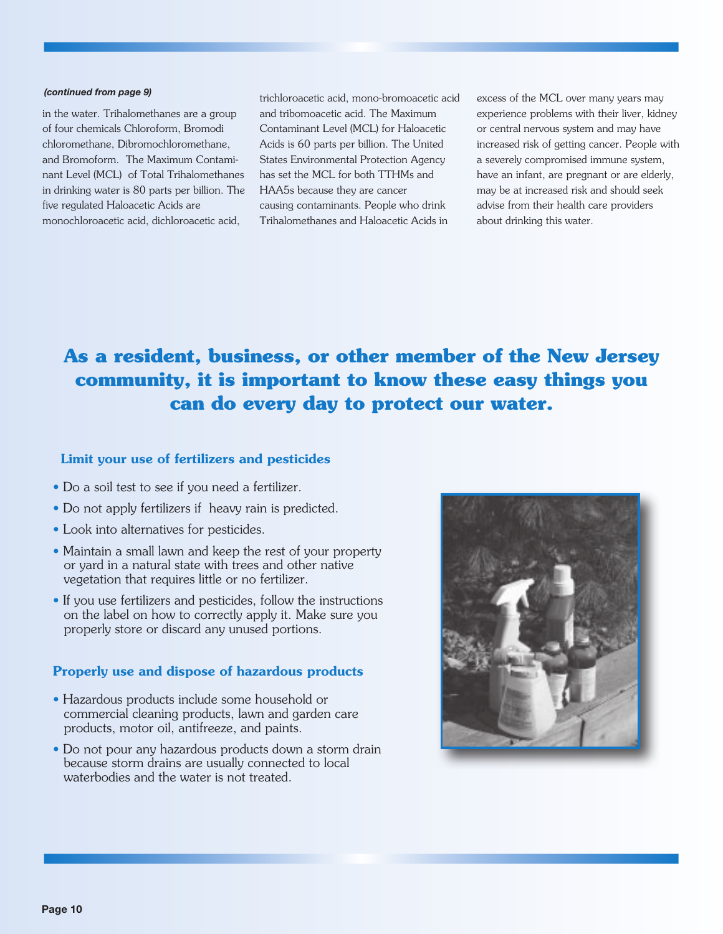#### *(continued from page 9)*

in the water. Trihalomethanes are a group of four chemicals Chloroform, Bromodi chloromethane, Dibromochloromethane, and Bromoform. The Maximum Contaminant Level (MCL) of Total Trihalomethanes in drinking water is 80 parts per billion. The five regulated Haloacetic Acids are monochloroacetic acid, dichloroacetic acid,

trichloroacetic acid, mono-bromoacetic acid and tribomoacetic acid. The Maximum Contaminant Level (MCL) for Haloacetic Acids is 60 parts per billion. The United States Environmental Protection Agency has set the MCL for both TTHMs and HAA5s because they are cancer causing contaminants. People who drink Trihalomethanes and Haloacetic Acids in

excess of the MCL over many years may experience problems with their liver, kidney or central nervous system and may have increased risk of getting cancer. People with a severely compromised immune system, have an infant, are pregnant or are elderly, may be at increased risk and should seek advise from their health care providers about drinking this water.

# **As a resident, business, or other member of the New Jersey community, it is important to know these easy things you can do every day to protect our water.**

### Limit your use of fertilizers and pesticides

- Do a soil test to see if you need a fertilizer.
- Do not apply fertilizers if heavy rain is predicted.
- Look into alternatives for pesticides.
- Maintain a small lawn and keep the rest of your property or yard in a natural state with trees and other native vegetation that requires little or no fertilizer.
- If you use fertilizers and pesticides, follow the instructions on the label on how to correctly apply it. Make sure you properly store or discard any unused portions.

## Properly use and dispose of hazardous products

- Hazardous products include some household or commercial cleaning products, lawn and garden care products, motor oil, antifreeze, and paints.
- Do not pour any hazardous products down a storm drain because storm drains are usually connected to local waterbodies and the water is not treated.

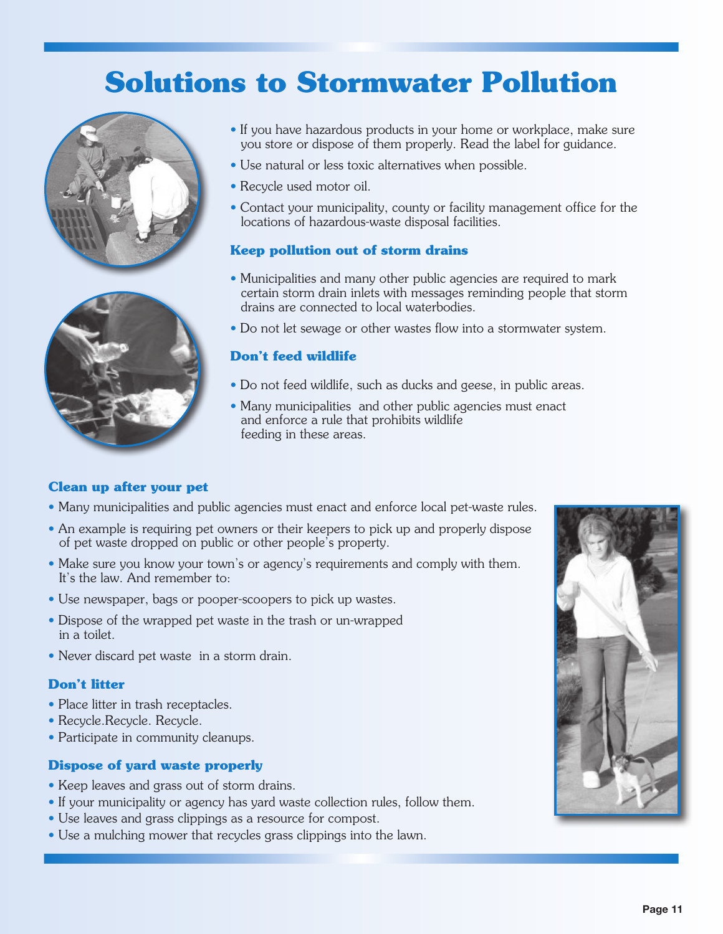# **Solutions to Stormwater Pollution**





- If you have hazardous products in your home or workplace, make sure you store or dispose of them properly. Read the label for guidance.
- Use natural or less toxic alternatives when possible.
- Recycle used motor oil.
- Contact your municipality, county or facility management office for the locations of hazardous-waste disposal facilities.

# **Keep pollution out of storm drains**

- Municipalities and many other public agencies are required to mark certain storm drain inlets with messages reminding people that storm drains are connected to local waterbodies.
- Do not let sewage or other wastes flow into a stormwater system.

# **Don't feed wildlife**

- Do not feed wildlife, such as ducks and geese, in public areas.
- Many municipalities and other public agencies must enact and enforce a rule that prohibits wildlife feeding in these areas.

## **Clean up after your pet**

- Many municipalities and public agencies must enact and enforce local pet-waste rules.
- An example is requiring pet owners or their keepers to pick up and properly dispose of pet waste dropped on public or other people's property.
- Make sure you know your town's or agency's requirements and comply with them. It's the law. And remember to:
- Use newspaper, bags or pooper-scoopers to pick up wastes.
- Dispose of the wrapped pet waste in the trash or un-wrapped in a toilet.
- Never discard pet waste in a storm drain.

## **Don't litter**

- Place litter in trash receptacles.
- Recycle.Recycle. Recycle.
- Participate in community cleanups.

# **Dispose of yard waste properly**

- Keep leaves and grass out of storm drains.
- If your municipality or agency has yard waste collection rules, follow them.
- Use leaves and grass clippings as a resource for compost.
- Use a mulching mower that recycles grass clippings into the lawn.